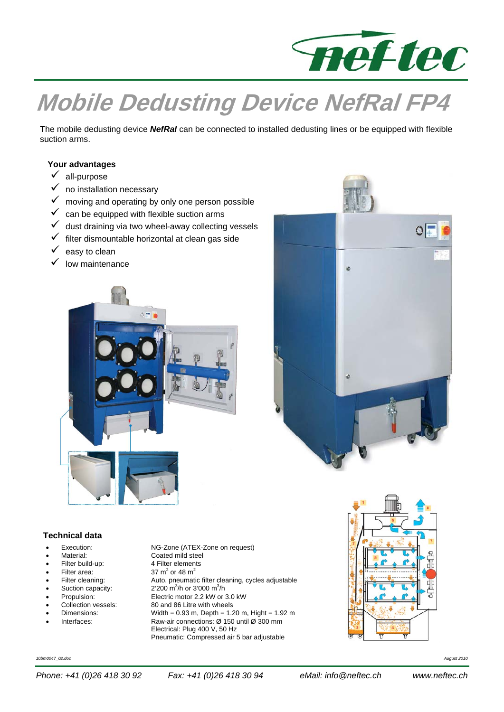

# **Mobile Dedusting Device NefRal FP4**

The mobile dedusting device *NefRal* can be connected to installed dedusting lines or be equipped with flexible suction arms.

### **Your advantages**

- all-purpose
- $\checkmark$  no installation necessary
- $\checkmark$  moving and operating by only one person possible
- can be equipped with flexible suction arms
- dust draining via two wheel-away collecting vessels
- filter dismountable horizontal at clean gas side
- easy to clean
- low maintenance





#### **Technical data**

- 
- 
- 
- Filter area:<br>Filter cleaning:
- Suction capacity:
- 
- 
- 
- 

Execution: NG-Zone (ATEX-Zone on request)<br>
Material: Coated mild steel Coated mild steel Filter build-up: 4 Filter elements 37  $m<sup>2</sup>$  or 48  $m<sup>2</sup>$ Auto. pneumatic filter cleaning, cycles adjustable /h or 3'000 m<sup>3</sup>/h Propulsion: Electric motor 2.2 kW or 3.0 kW<br>Collection vessels: 80 and 86 Litre with wheels 80 and 86 Litre with wheels Dimensions: Width =  $0.93$  m, Depth =  $1.20$  m, Hight =  $1.92$  m Interfaces: Raw-air connections: Ø 150 until Ø 300 mm Electrical: Plug 400 V, 50 Hz Pneumatic: Compressed air 5 bar adjustable



*10bm0047\_02.doc August 2010*